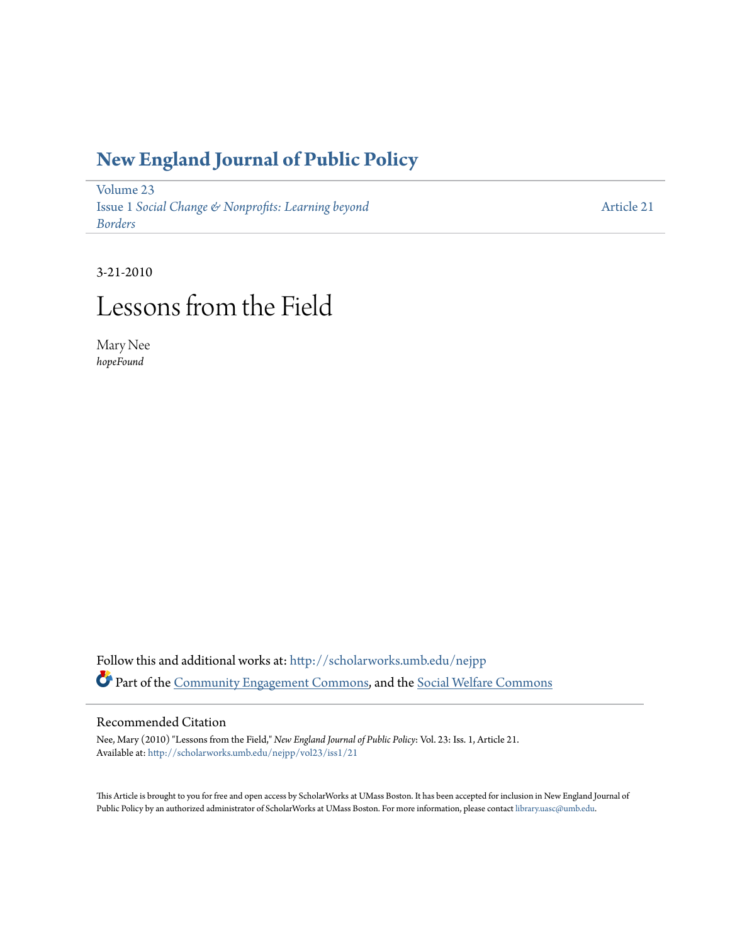### **[New England Journal of Public Policy](http://scholarworks.umb.edu/nejpp?utm_source=scholarworks.umb.edu%2Fnejpp%2Fvol23%2Fiss1%2F21&utm_medium=PDF&utm_campaign=PDFCoverPages)**

[Volume 23](http://scholarworks.umb.edu/nejpp/vol23?utm_source=scholarworks.umb.edu%2Fnejpp%2Fvol23%2Fiss1%2F21&utm_medium=PDF&utm_campaign=PDFCoverPages) Issue 1 *[Social Change & Nonprofits: Learning beyond](http://scholarworks.umb.edu/nejpp/vol23/iss1?utm_source=scholarworks.umb.edu%2Fnejpp%2Fvol23%2Fiss1%2F21&utm_medium=PDF&utm_campaign=PDFCoverPages) [Borders](http://scholarworks.umb.edu/nejpp/vol23/iss1?utm_source=scholarworks.umb.edu%2Fnejpp%2Fvol23%2Fiss1%2F21&utm_medium=PDF&utm_campaign=PDFCoverPages)*

[Article 21](http://scholarworks.umb.edu/nejpp/vol23/iss1/21?utm_source=scholarworks.umb.edu%2Fnejpp%2Fvol23%2Fiss1%2F21&utm_medium=PDF&utm_campaign=PDFCoverPages)

### 3-21-2010

## Lessons from the Field

Mary Nee *hopeFound*

Follow this and additional works at: [http://scholarworks.umb.edu/nejpp](http://scholarworks.umb.edu/nejpp?utm_source=scholarworks.umb.edu%2Fnejpp%2Fvol23%2Fiss1%2F21&utm_medium=PDF&utm_campaign=PDFCoverPages) Part of the [Community Engagement Commons](http://network.bepress.com/hgg/discipline/1028?utm_source=scholarworks.umb.edu%2Fnejpp%2Fvol23%2Fiss1%2F21&utm_medium=PDF&utm_campaign=PDFCoverPages), and the [Social Welfare Commons](http://network.bepress.com/hgg/discipline/401?utm_source=scholarworks.umb.edu%2Fnejpp%2Fvol23%2Fiss1%2F21&utm_medium=PDF&utm_campaign=PDFCoverPages)

### Recommended Citation

Nee, Mary (2010) "Lessons from the Field," *New England Journal of Public Policy*: Vol. 23: Iss. 1, Article 21. Available at: [http://scholarworks.umb.edu/nejpp/vol23/iss1/21](http://scholarworks.umb.edu/nejpp/vol23/iss1/21?utm_source=scholarworks.umb.edu%2Fnejpp%2Fvol23%2Fiss1%2F21&utm_medium=PDF&utm_campaign=PDFCoverPages)

This Article is brought to you for free and open access by ScholarWorks at UMass Boston. It has been accepted for inclusion in New England Journal of Public Policy by an authorized administrator of ScholarWorks at UMass Boston. For more information, please contact [library.uasc@umb.edu](mailto:library.uasc@umb.edu).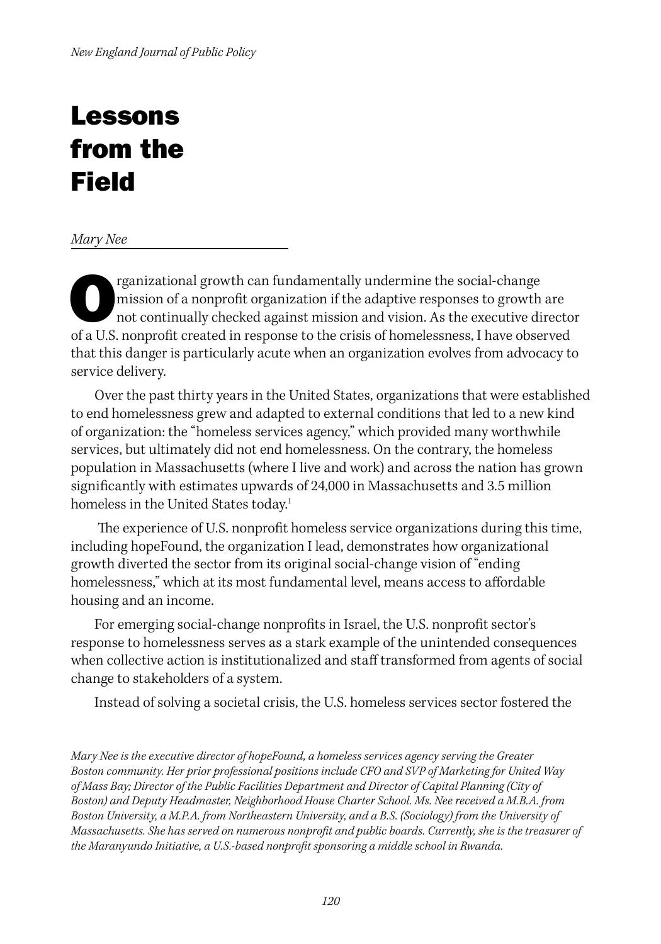# Lessons from the Field

*Mary Nee*

rganizational growth can fundamentally undermine the social-change<br>mission of a nonprofit organization if the adaptive responses to growth<br>not continually checked against mission and vision. As the executive di<br>of a US non mission of a nonprofit organization if the adaptive responses to growth are not continually checked against mission and vision. As the executive director of a U.S. nonprofit created in response to the crisis of homelessness, I have observed that this danger is particularly acute when an organization evolves from advocacy to service delivery.

Over the past thirty years in the United States, organizations that were established to end homelessness grew and adapted to external conditions that led to a new kind of organization: the "homeless services agency," which provided many worthwhile services, but ultimately did not end homelessness. On the contrary, the homeless population in Massachusetts (where I live and work) and across the nation has grown significantly with estimates upwards of 24,000 in Massachusetts and 3.5 million homeless in the United States today.<sup>1</sup>

 The experience of U.S. nonprofit homeless service organizations during this time, including hopeFound, the organization I lead, demonstrates how organizational growth diverted the sector from its original social-change vision of "ending homelessness," which at its most fundamental level, means access to affordable housing and an income.

For emerging social-change nonprofits in Israel, the U.S. nonprofit sector's response to homelessness serves as a stark example of the unintended consequences when collective action is institutionalized and staff transformed from agents of social change to stakeholders of a system.

Instead of solving a societal crisis, the U.S. homeless services sector fostered the

*Mary Nee is the executive director of hopeFound, a homeless services agency serving the Greater Boston community. Her prior professional positions include CFO and SVP of Marketing for United Way of Mass Bay; Director of the Public Facilities Department and Director of Capital Planning (City of Boston) and Deputy Headmaster, Neighborhood House Charter School. Ms. Nee received a M.B.A. from Boston University, a M.P.A. from Northeastern University, and a B.S. (Sociology) from the University of Massachusetts. She has served on numerous nonprofit and public boards. Currently, she is the treasurer of the Maranyundo Initiative, a U.S.-based nonprofit sponsoring a middle school in Rwanda.*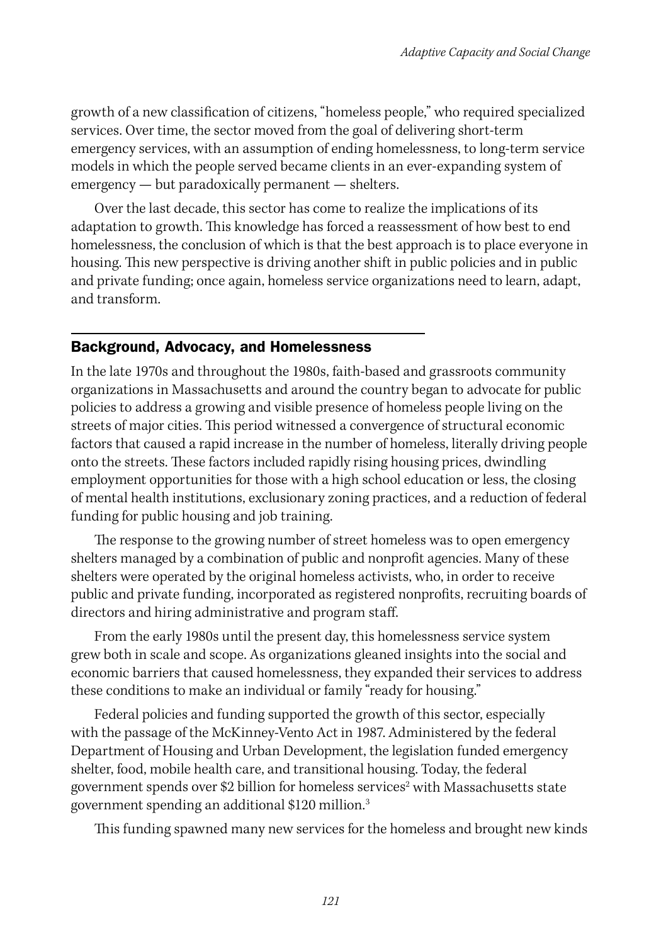growth of a new classification of citizens, "homeless people," who required specialized services. Over time, the sector moved from the goal of delivering short-term emergency services, with an assumption of ending homelessness, to long-term service models in which the people served became clients in an ever-expanding system of emergency — but paradoxically permanent — shelters.

Over the last decade, this sector has come to realize the implications of its adaptation to growth. This knowledge has forced a reassessment of how best to end homelessness, the conclusion of which is that the best approach is to place everyone in housing. This new perspective is driving another shift in public policies and in public and private funding; once again, homeless service organizations need to learn, adapt, and transform.

### Background, Advocacy, and Homelessness

In the late 1970s and throughout the 1980s, faith-based and grassroots community organizations in Massachusetts and around the country began to advocate for public policies to address a growing and visible presence of homeless people living on the streets of major cities. This period witnessed a convergence of structural economic factors that caused a rapid increase in the number of homeless, literally driving people onto the streets. These factors included rapidly rising housing prices, dwindling employment opportunities for those with a high school education or less, the closing of mental health institutions, exclusionary zoning practices, and a reduction of federal funding for public housing and job training.

The response to the growing number of street homeless was to open emergency shelters managed by a combination of public and nonprofit agencies. Many of these shelters were operated by the original homeless activists, who, in order to receive public and private funding, incorporated as registered nonprofits, recruiting boards of directors and hiring administrative and program staff.

From the early 1980s until the present day, this homelessness service system grew both in scale and scope. As organizations gleaned insights into the social and economic barriers that caused homelessness, they expanded their services to address these conditions to make an individual or family "ready for housing."

Federal policies and funding supported the growth of this sector, especially with the passage of the McKinney-Vento Act in 1987. Administered by the federal Department of Housing and Urban Development, the legislation funded emergency shelter, food, mobile health care, and transitional housing. Today, the federal government spends over \$2 billion for homeless services $^{\rm 2}$  with Massachusetts state government spending an additional \$120 million.3

This funding spawned many new services for the homeless and brought new kinds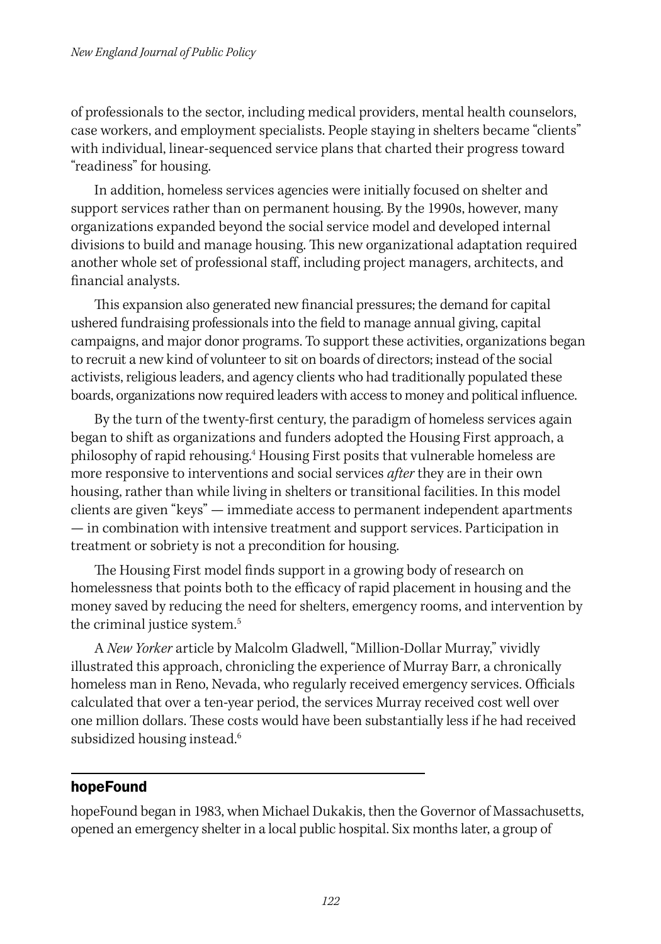of professionals to the sector, including medical providers, mental health counselors, case workers, and employment specialists. People staying in shelters became "clients" with individual, linear-sequenced service plans that charted their progress toward "readiness" for housing.

In addition, homeless services agencies were initially focused on shelter and support services rather than on permanent housing. By the 1990s, however, many organizations expanded beyond the social service model and developed internal divisions to build and manage housing. This new organizational adaptation required another whole set of professional staff, including project managers, architects, and financial analysts.

This expansion also generated new financial pressures; the demand for capital ushered fundraising professionals into the field to manage annual giving, capital campaigns, and major donor programs. To support these activities, organizations began to recruit a new kind of volunteer to sit on boards of directors; instead of the social activists, religious leaders, and agency clients who had traditionally populated these boards, organizations now required leaders with access to money and political influence.

By the turn of the twenty-first century, the paradigm of homeless services again began to shift as organizations and funders adopted the Housing First approach, a philosophy of rapid rehousing.<sup>4</sup> Housing First posits that vulnerable homeless are more responsive to interventions and social services *after* they are in their own housing, rather than while living in shelters or transitional facilities. In this model clients are given "keys" — immediate access to permanent independent apartments — in combination with intensive treatment and support services. Participation in treatment or sobriety is not a precondition for housing.

The Housing First model finds support in a growing body of research on homelessness that points both to the efficacy of rapid placement in housing and the money saved by reducing the need for shelters, emergency rooms, and intervention by the criminal justice system.<sup>5</sup>

A *New Yorker* article by Malcolm Gladwell, "Million-Dollar Murray," vividly illustrated this approach, chronicling the experience of Murray Barr, a chronically homeless man in Reno, Nevada, who regularly received emergency services. Officials calculated that over a ten-year period, the services Murray received cost well over one million dollars. These costs would have been substantially less if he had received subsidized housing instead.<sup>6</sup>

### hopeFound

hopeFound began in 1983, when Michael Dukakis, then the Governor of Massachusetts, opened an emergency shelter in a local public hospital. Six months later, a group of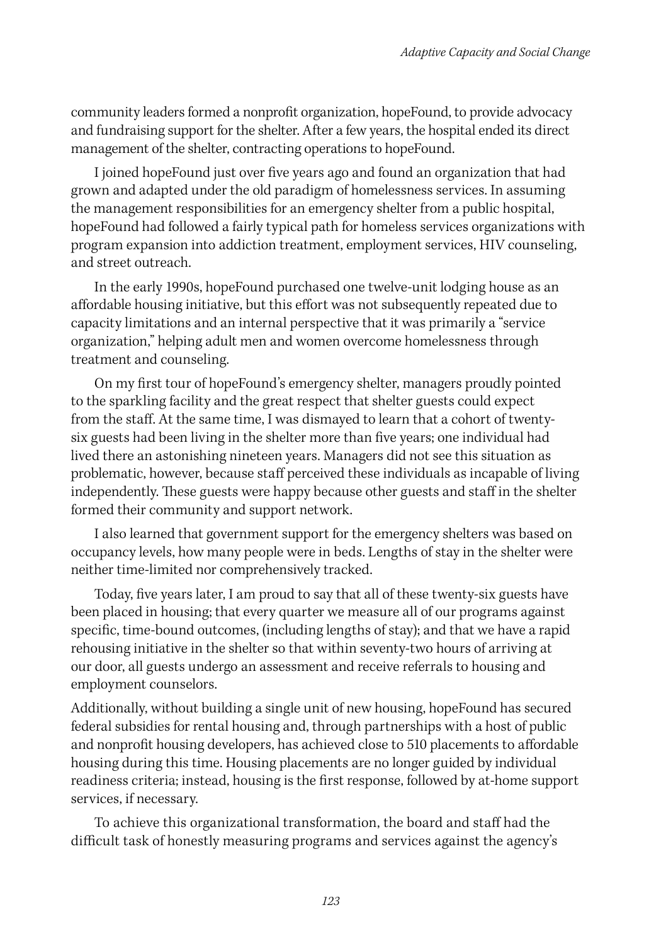community leaders formed a nonprofit organization, hopeFound, to provide advocacy and fundraising support for the shelter. After a few years, the hospital ended its direct management of the shelter, contracting operations to hopeFound.

I joined hopeFound just over five years ago and found an organization that had grown and adapted under the old paradigm of homelessness services. In assuming the management responsibilities for an emergency shelter from a public hospital, hopeFound had followed a fairly typical path for homeless services organizations with program expansion into addiction treatment, employment services, HIV counseling, and street outreach.

In the early 1990s, hopeFound purchased one twelve-unit lodging house as an affordable housing initiative, but this effort was not subsequently repeated due to capacity limitations and an internal perspective that it was primarily a "service organization," helping adult men and women overcome homelessness through treatment and counseling.

On my first tour of hopeFound's emergency shelter, managers proudly pointed to the sparkling facility and the great respect that shelter guests could expect from the staff. At the same time, I was dismayed to learn that a cohort of twentysix guests had been living in the shelter more than five years; one individual had lived there an astonishing nineteen years. Managers did not see this situation as problematic, however, because staff perceived these individuals as incapable of living independently. These guests were happy because other guests and staff in the shelter formed their community and support network.

I also learned that government support for the emergency shelters was based on occupancy levels, how many people were in beds. Lengths of stay in the shelter were neither time-limited nor comprehensively tracked.

Today, five years later, I am proud to say that all of these twenty-six guests have been placed in housing; that every quarter we measure all of our programs against specific, time-bound outcomes, (including lengths of stay); and that we have a rapid rehousing initiative in the shelter so that within seventy-two hours of arriving at our door, all guests undergo an assessment and receive referrals to housing and employment counselors.

Additionally, without building a single unit of new housing, hopeFound has secured federal subsidies for rental housing and, through partnerships with a host of public and nonprofit housing developers, has achieved close to 510 placements to affordable housing during this time. Housing placements are no longer guided by individual readiness criteria; instead, housing is the first response, followed by at-home support services, if necessary.

To achieve this organizational transformation, the board and staff had the difficult task of honestly measuring programs and services against the agency's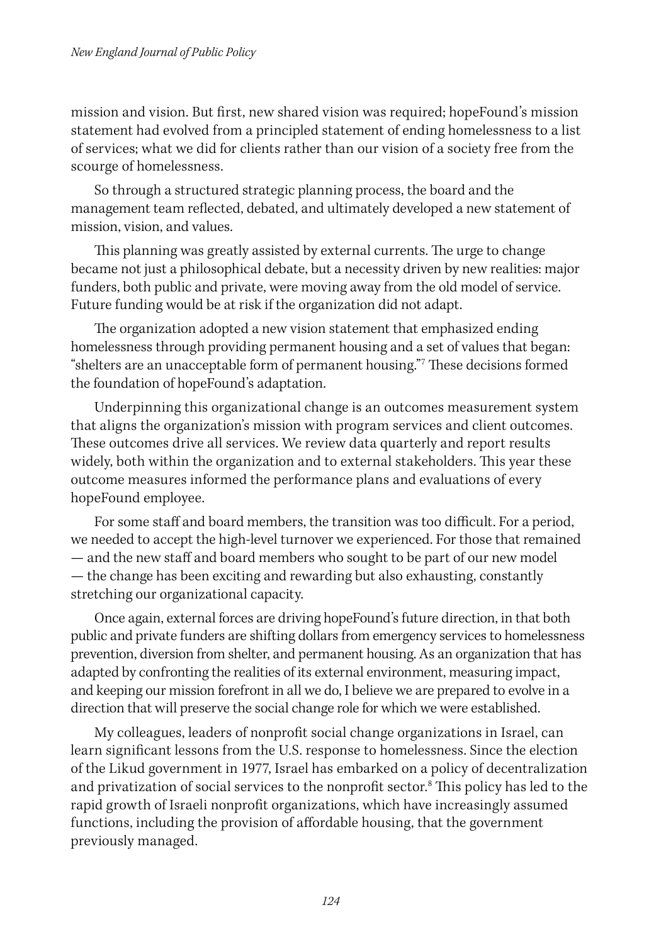mission and vision. But first, new shared vision was required; hopeFound's mission statement had evolved from a principled statement of ending homelessness to a list of services; what we did for clients rather than our vision of a society free from the scourge of homelessness.

So through a structured strategic planning process, the board and the management team reflected, debated, and ultimately developed a new statement of mission, vision, and values.

This planning was greatly assisted by external currents. The urge to change became not just a philosophical debate, but a necessity driven by new realities: major funders, both public and private, were moving away from the old model of service. Future funding would be at risk if the organization did not adapt.

The organization adopted a new vision statement that emphasized ending homelessness through providing permanent housing and a set of values that began: "shelters are an unacceptable form of permanent housing."7 These decisions formed the foundation of hopeFound's adaptation.

Underpinning this organizational change is an outcomes measurement system that aligns the organization's mission with program services and client outcomes. These outcomes drive all services. We review data quarterly and report results widely, both within the organization and to external stakeholders. This year these outcome measures informed the performance plans and evaluations of every hopeFound employee.

For some staff and board members, the transition was too difficult. For a period, we needed to accept the high-level turnover we experienced. For those that remained — and the new staff and board members who sought to be part of our new model — the change has been exciting and rewarding but also exhausting, constantly stretching our organizational capacity.

Once again, external forces are driving hopeFound's future direction, in that both public and private funders are shifting dollars from emergency services to homelessness prevention, diversion from shelter, and permanent housing. As an organization that has adapted by confronting the realities of its external environment, measuring impact, and keeping our mission forefront in all we do, I believe we are prepared to evolve in a direction that will preserve the social change role for which we were established.

My colleagues, leaders of nonprofit social change organizations in Israel, can learn significant lessons from the U.S. response to homelessness. Since the election of the Likud government in 1977, Israel has embarked on a policy of decentralization and privatization of social services to the nonprofit sector.<sup>8</sup> This policy has led to the rapid growth of Israeli nonprofit organizations, which have increasingly assumed functions, including the provision of affordable housing, that the government previously managed.